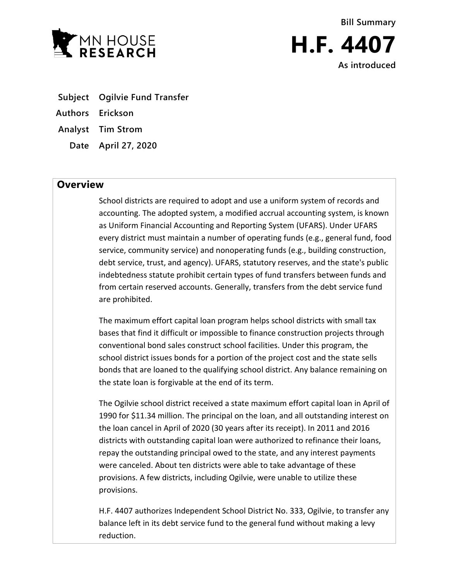

**Bill Summary H.F. 4407 As introduced**

- **Subject Ogilvie Fund Transfer**
- **Authors Erickson**
- **Analyst Tim Strom**
	- **Date April 27, 2020**

## **Overview**

School districts are required to adopt and use a uniform system of records and accounting. The adopted system, a modified accrual accounting system, is known as Uniform Financial Accounting and Reporting System (UFARS). Under UFARS every district must maintain a number of operating funds (e.g., general fund, food service, community service) and nonoperating funds (e.g., building construction, debt service, trust, and agency). UFARS, statutory reserves, and the state's public indebtedness statute prohibit certain types of fund transfers between funds and from certain reserved accounts. Generally, transfers from the debt service fund are prohibited.

The maximum effort capital loan program helps school districts with small tax bases that find it difficult or impossible to finance construction projects through conventional bond sales construct school facilities. Under this program, the school district issues bonds for a portion of the project cost and the state sells bonds that are loaned to the qualifying school district. Any balance remaining on the state loan is forgivable at the end of its term.

The Ogilvie school district received a state maximum effort capital loan in April of 1990 for \$11.34 million. The principal on the loan, and all outstanding interest on the loan cancel in April of 2020 (30 years after its receipt). In 2011 and 2016 districts with outstanding capital loan were authorized to refinance their loans, repay the outstanding principal owed to the state, and any interest payments were canceled. About ten districts were able to take advantage of these provisions. A few districts, including Ogilvie, were unable to utilize these provisions.

H.F. 4407 authorizes Independent School District No. 333, Ogilvie, to transfer any balance left in its debt service fund to the general fund without making a levy reduction.